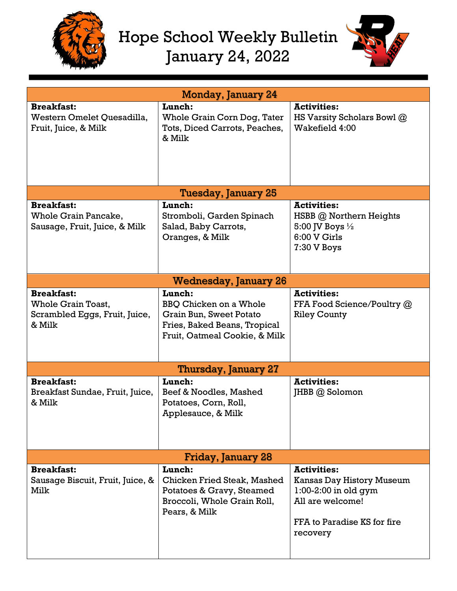

## Hope School Weekly Bulletin January 24, 2022



| <b>Monday, January 24</b>                                                          |                                                                                                                                     |                                                                                                                                          |  |  |  |  |
|------------------------------------------------------------------------------------|-------------------------------------------------------------------------------------------------------------------------------------|------------------------------------------------------------------------------------------------------------------------------------------|--|--|--|--|
| <b>Breakfast:</b><br>Western Omelet Quesadilla,<br>Fruit, Juice, & Milk            | Lunch:<br>Whole Grain Corn Dog, Tater<br>Tots, Diced Carrots, Peaches,<br>& Milk                                                    | <b>Activities:</b><br>HS Varsity Scholars Bowl @<br>Wakefield 4:00                                                                       |  |  |  |  |
| Tuesday, January 25                                                                |                                                                                                                                     |                                                                                                                                          |  |  |  |  |
| <b>Breakfast:</b><br>Whole Grain Pancake,<br>Sausage, Fruit, Juice, & Milk         | Lunch:<br>Stromboli, Garden Spinach<br>Salad, Baby Carrots,<br>Oranges, & Milk                                                      | <b>Activities:</b><br>HSBB @ Northern Heights<br>5:00 JV Boys $\frac{1}{2}$<br>6:00 V Girls<br>7:30 V Boys                               |  |  |  |  |
| <b>Wednesday, January 26</b>                                                       |                                                                                                                                     |                                                                                                                                          |  |  |  |  |
| <b>Breakfast:</b><br>Whole Grain Toast,<br>Scrambled Eggs, Fruit, Juice,<br>& Milk | Lunch:<br><b>BBQ Chicken on a Whole</b><br>Grain Bun, Sweet Potato<br>Fries, Baked Beans, Tropical<br>Fruit, Oatmeal Cookie, & Milk | <b>Activities:</b><br>FFA Food Science/Poultry @<br><b>Riley County</b>                                                                  |  |  |  |  |
| Thursday, January 27                                                               |                                                                                                                                     |                                                                                                                                          |  |  |  |  |
| <b>Breakfast:</b><br>Breakfast Sundae, Fruit, Juice,<br>& Milk                     | Lunch:<br>Beef & Noodles, Mashed<br>Potatoes, Corn, Roll,<br>Applesauce, & Milk                                                     | <b>Activities:</b><br>JHBB @ Solomon                                                                                                     |  |  |  |  |
| Friday, January 28                                                                 |                                                                                                                                     |                                                                                                                                          |  |  |  |  |
| <b>Breakfast:</b><br>Sausage Biscuit, Fruit, Juice, &<br>Milk                      | Lunch:<br><b>Chicken Fried Steak, Mashed</b><br>Potatoes & Gravy, Steamed<br>Broccoli, Whole Grain Roll,<br>Pears, & Milk           | <b>Activities:</b><br>Kansas Day History Museum<br>$1:00-2:00$ in old gym<br>All are welcome!<br>FFA to Paradise KS for fire<br>recovery |  |  |  |  |